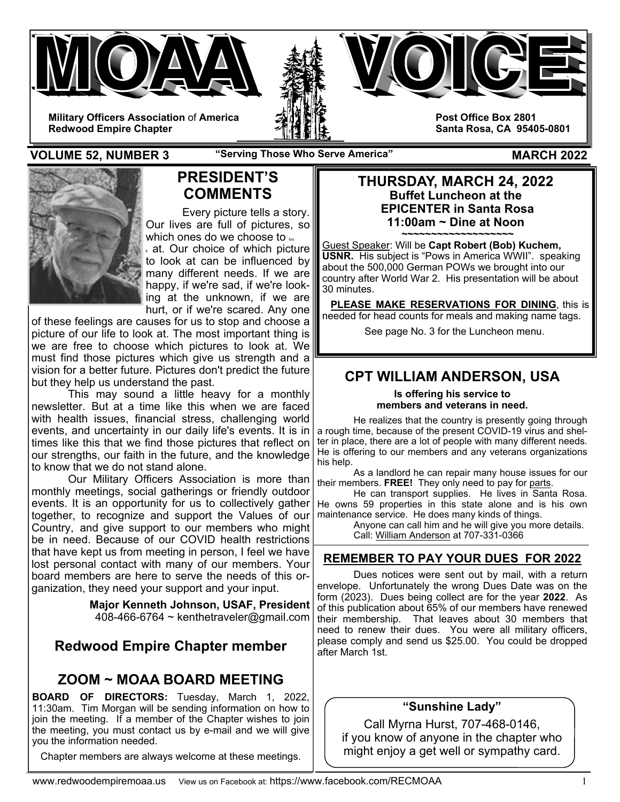



**Military Officers Association** of **America Redwood Empire Chapter** 

**Post Office Box 2801 Santa Rosa, CA 95405-0801** 

**VOLUME 52, NUMBER 3** The Serving Those Who Serve America" MARCH 2022



# **PRESIDENT'S COMMENTS**

Every picture tells a story. Our lives are full of pictures, so which ones do we choose to  $\infty$  $_{k}$  at. Our choice of which picture  $|$ to look at can be influenced by many different needs. If we are happy, if we're sad, if we're looking at the unknown, if we are hurt, or if we're scared. Any one

of these feelings are causes for us to stop and choose a picture of our life to look at. The most important thing is we are free to choose which pictures to look at. We must find those pictures which give us strength and a vision for a better future. Pictures don't predict the future but they help us understand the past.

 This may sound a little heavy for a monthly newsletter. But at a time like this when we are faced with health issues, financial stress, challenging world events, and uncertainty in our daily life's events. It is in times like this that we find those pictures that reflect on our strengths, our faith in the future, and the knowledge to know that we do not stand alone.

 Our Military Officers Association is more than monthly meetings, social gatherings or friendly outdoor events. It is an opportunity for us to collectively gather together, to recognize and support the Values of our Country, and give support to our members who might be in need. Because of our COVID health restrictions that have kept us from meeting in person, I feel we have lost personal contact with many of our members. Your board members are here to serve the needs of this organization, they need your support and your input.

> **Major Kenneth Johnson, USAF, President**  408-466-6764 ~ kenthetraveler@gmail.com

# **Redwood Empire Chapter member**

# **ZOOM ~ MOAA BOARD MEETING**

**BOARD OF DIRECTORS:** Tuesday, March 1, 2022, 11:30am. Tim Morgan will be sending information on how to join the meeting. If a member of the Chapter wishes to join the meeting, you must contact us by e-mail and we will give you the information needed.

Chapter members are always welcome at these meetings.

### **THURSDAY, MARCH 24, 2022 Buffet Luncheon at the EPICENTER in Santa Rosa 11:00am ~ Dine at Noon**

**~~~~~~~~~~~~~~~~~~~**  Guest Speaker: Will be **Capt Robert (Bob) Kuchem, USNR.** His subject is "Pows in America WWII". speaking about the 500,000 German POWs we brought into our country after World War 2. His presentation will be about 30 minutes.

 **PLEASE MAKE RESERVATIONS FOR DINING**, this is needed for head counts for meals and making name tags.

See page No. 3 for the Luncheon menu.

# **CPT WILLIAM ANDERSON, USA**

**Is offering his service to members and veterans in need.** 

He realizes that the country is presently going through a rough time, because of the present COVID-19 virus and shelter in place, there are a lot of people with many different needs. He is offering to our members and any veterans organizations his help.

 As a landlord he can repair many house issues for our their members. **FREE!** They only need to pay for parts.

He can transport supplies. He lives in Santa Rosa. He owns 59 properties in this state alone and is his own maintenance service. He does many kinds of things.

 Anyone can call him and he will give you more details. Call: William Anderson at 707-331-0366

## **REMEMBER TO PAY YOUR DUES FOR 2022**

Dues notices were sent out by mail, with a return envelope. Unfortunately the wrong Dues Date was on the form (2023). Dues being collect are for the year **2022**. As of this publication about 65% of our members have renewed their membership. That leaves about 30 members that need to renew their dues. You were all military officers, please comply and send us \$25.00. You could be dropped after March 1st.

## **"Sunshine Lady"**

Call Myrna Hurst, 707-468-0146, if you know of anyone in the chapter who might enjoy a get well or sympathy card.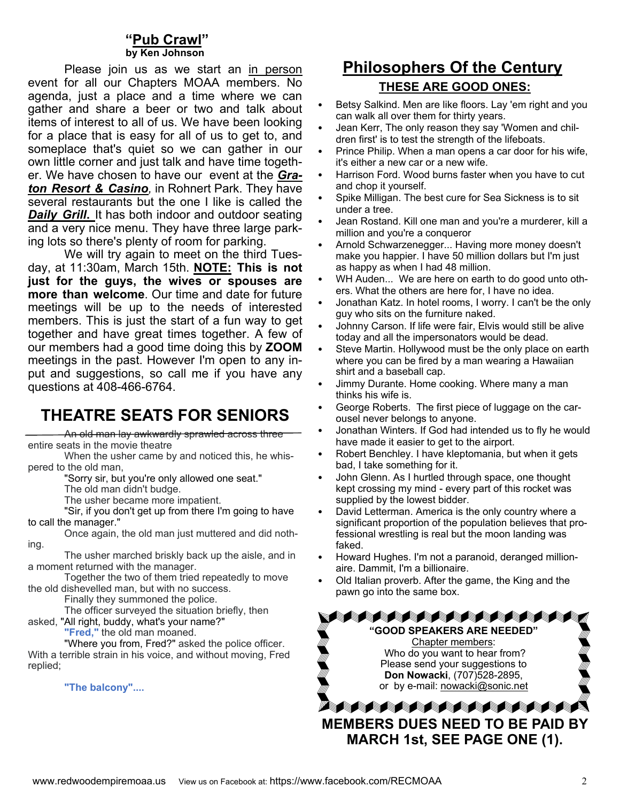### **"Pub Crawl" by Ken Johnso**

Please join us as we start an in person event for all our Chapters MOAA members. No agenda, just a place and a time where we can gather and share a beer or two and talk about items of interest to all of us. We have been looking for a place that is easy for all of us to get to, and someplace that's quiet so we can gather in our own little corner and just talk and have time together. We have chosen to have our event at the *Graton Resort & Casino,* in Rohnert Park. They have several restaurants but the one I like is called the *Daily Grill***.** It has both indoor and outdoor seating and a very nice menu. They have three large parking lots so there's plenty of room for parking.

 We will try again to meet on the third Tuesday, at 11:30am, March 15th. **NOTE: This is not just for the guys, the wives or spouses are more than welcome**. Our time and date for future meetings will be up to the needs of interested members. This is just the start of a fun way to get together and have great times together. A few of our members had a good time doing this by **ZOOM** meetings in the past. However I'm open to any input and suggestions, so call me if you have any questions at 408-466-6764.

# **THEATRE SEATS FOR SENIORS**

An old man lay awkwardly sprawled across three entire seats in the movie theatre

When the usher came by and noticed this, he whispered to the old man,

"Sorry sir, but you're only allowed one seat."

The old man didn't budge.

The usher became more impatient.

 "Sir, if you don't get up from there I'm going to have to call the manager."

Once again, the old man just muttered and did nothing.

The usher marched briskly back up the aisle, and in a moment returned with the manager.

Together the two of them tried repeatedly to move the old dishevelled man, but with no success.

Finally they summoned the police.

The officer surveyed the situation briefly, then

asked, "All right, buddy, what's your name?"

**"Fred,"** the old man moaned.

 "Where you from, Fred?" asked the police officer. With a terrible strain in his voice, and without moving, Fred replied;

 **"The balcony"....**

# **Philosophers Of the Century THESE ARE GOOD ONES:**

- Betsy Salkind. Men are like floors. Lay 'em right and you can walk all over them for thirty years.
- Jean Kerr, The only reason they say 'Women and children first' is to test the strength of the lifeboats.
- Prince Philip. When a man opens a car door for his wife, it's either a new car or a new wife.
- Harrison Ford. Wood burns faster when you have to cut and chop it yourself.
- Spike Milligan. The best cure for Sea Sickness is to sit under a tree.
- Jean Rostand. Kill one man and you're a murderer, kill a million and you're a conqueror
- Arnold Schwarzenegger... Having more money doesn't make you happier. I have 50 million dollars but I'm just as happy as when I had 48 million.
- WH Auden... We are here on earth to do good unto others. What the others are here for, I have no idea.
- Jonathan Katz. In hotel rooms, I worry. I can't be the only guy who sits on the furniture naked.
- Johnny Carson. If life were fair, Elvis would still be alive today and all the impersonators would be dead.
- Steve Martin. Hollywood must be the only place on earth where you can be fired by a man wearing a Hawaiian shirt and a baseball cap.
- Jimmy Durante. Home cooking. Where many a man thinks his wife is.
- George Roberts. The first piece of luggage on the carousel never belongs to anyone.
- Jonathan Winters. If God had intended us to fly he would have made it easier to get to the airport.
- Robert Benchley. I have kleptomania, but when it gets bad, I take something for it.
- John Glenn. As I hurtled through space, one thought kept crossing my mind - every part of this rocket was supplied by the lowest bidder.
- David Letterman. America is the only country where a significant proportion of the population believes that professional wrestling is real but the moon landing was faked.
- Howard Hughes. I'm not a paranoid, deranged millionaire. Dammit, I'm a billionaire.
- Old Italian proverb. After the game, the King and the pawn go into the same box.

**AAAAAAAAAAAAAA "GOOD SPEAKERS ARE NEEDED"**  Chapter members: Who do you want to hear from? Please send your suggestions to **Don Nowacki**, (707)528-2895, or by e-mail: nowacki@sonic.net

**SAAAAAAAAAAAAA MEMBERS DUES NEED TO BE PAID BY MARCH 1st, SEE PAGE ONE (1).**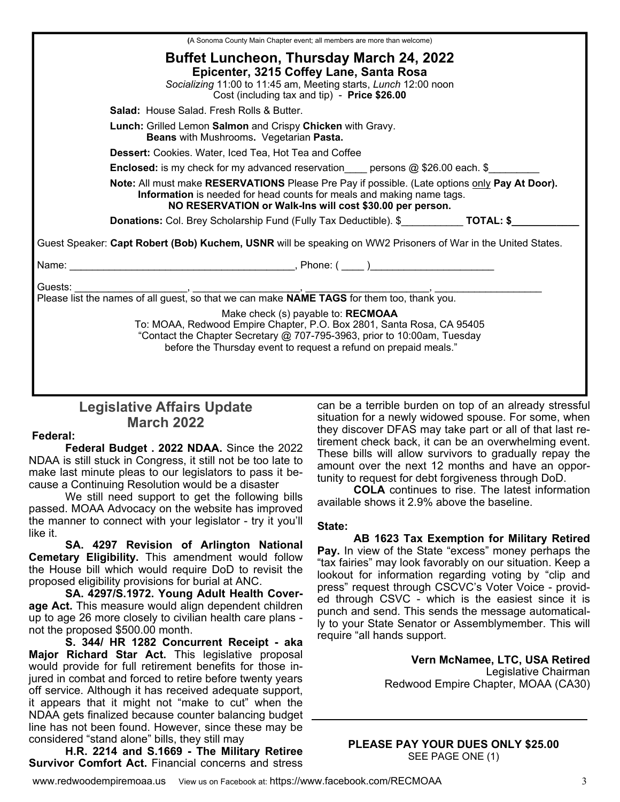|                                                                                                                                                                                                                                    | (A Sonoma County Main Chapter event; all members are more than welcome)                                                                                                                                                                                     |  |  |  |
|------------------------------------------------------------------------------------------------------------------------------------------------------------------------------------------------------------------------------------|-------------------------------------------------------------------------------------------------------------------------------------------------------------------------------------------------------------------------------------------------------------|--|--|--|
|                                                                                                                                                                                                                                    | <b>Buffet Luncheon, Thursday March 24, 2022</b><br>Epicenter, 3215 Coffey Lane, Santa Rosa<br>Socializing 11:00 to 11:45 am, Meeting starts, Lunch 12:00 noon<br>Cost (including tax and tip) - Price \$26.00                                               |  |  |  |
|                                                                                                                                                                                                                                    | <b>Salad:</b> House Salad, Fresh Rolls & Butter,                                                                                                                                                                                                            |  |  |  |
|                                                                                                                                                                                                                                    | <b>Lunch:</b> Grilled Lemon Salmon and Crispy Chicken with Gravy.<br>Beans with Mushrooms. Vegetarian Pasta.                                                                                                                                                |  |  |  |
|                                                                                                                                                                                                                                    | <b>Dessert:</b> Cookies. Water, Iced Tea, Hot Tea and Coffee                                                                                                                                                                                                |  |  |  |
|                                                                                                                                                                                                                                    | <b>Enclosed:</b> is my check for my advanced reservation____ persons @ \$26.00 each. \$_______                                                                                                                                                              |  |  |  |
| Note: All must make RESERVATIONS Please Pre Pay if possible. (Late options only Pay At Door).<br>Information is needed for head counts for meals and making name tags.<br>NO RESERVATION or Walk-Ins will cost \$30.00 per person. |                                                                                                                                                                                                                                                             |  |  |  |
| <b>Donations:</b> Col. Brey Scholarship Fund (Fully Tax Deductible). \$ TOTAL: \$                                                                                                                                                  |                                                                                                                                                                                                                                                             |  |  |  |
| Guest Speaker: Capt Robert (Bob) Kuchem, USNR will be speaking on WW2 Prisoners of War in the United States.                                                                                                                       |                                                                                                                                                                                                                                                             |  |  |  |
|                                                                                                                                                                                                                                    |                                                                                                                                                                                                                                                             |  |  |  |
|                                                                                                                                                                                                                                    | Make check (s) payable to: RECMOAA<br>To: MOAA, Redwood Empire Chapter, P.O. Box 2801, Santa Rosa, CA 95405<br>"Contact the Chapter Secretary @ 707-795-3963, prior to 10:00am, Tuesday<br>before the Thursday event to request a refund on prepaid meals." |  |  |  |

## **Legislative Affairs Update March 2022**

#### **Federal:**

**Federal Budget . 2022 NDAA.** Since the 2022 NDAA is still stuck in Congress, it still not be too late to make last minute pleas to our legislators to pass it because a Continuing Resolution would be a disaster

 We still need support to get the following bills passed. MOAA Advocacy on the website has improved the manner to connect with your legislator - try it you'll like it.

**SA. 4297 Revision of Arlington National Cemetary Eligibility.** This amendment would follow the House bill which would require DoD to revisit the proposed eligibility provisions for burial at ANC.

**SA. 4297/S.1972. Young Adult Health Coverage Act.** This measure would align dependent children up to age 26 more closely to civilian health care plans not the proposed \$500.00 month.

**S. 344/ HR 1282 Concurrent Receipt - aka Major Richard Star Act.** This legislative proposal would provide for full retirement benefits for those injured in combat and forced to retire before twenty years off service. Although it has received adequate support, it appears that it might not "make to cut" when the NDAA gets finalized because counter balancing budget line has not been found. However, since these may be considered "stand alone" bills, they still may

**H.R. 2214 and S.1669 - The Military Retiree Survivor Comfort Act.** Financial concerns and stress

can be a terrible burden on top of an already stressful situation for a newly widowed spouse. For some, when they discover DFAS may take part or all of that last retirement check back, it can be an overwhelming event. These bills will allow survivors to gradually repay the amount over the next 12 months and have an opportunity to request for debt forgiveness through DoD.

**COLA** continues to rise. The latest information available shows it 2.9% above the baseline.

#### **State:**

**AB 1623 Tax Exemption for Military Retired Pay.** In view of the State "excess" money perhaps the "tax fairies" may look favorably on our situation. Keep a lookout for information regarding voting by "clip and press" request through CSCVC's Voter Voice - provided through CSVC - which is the easiest since it is punch and send. This sends the message automatically to your State Senator or Assemblymember. This will require "all hands support.

> **Vern McNamee, LTC, USA Retired**  Legislative Chairman Redwood Empire Chapter, MOAA (CA30)

**PLEASE PAY YOUR DUES ONLY \$25.00**  SEE PAGE ONE (1)